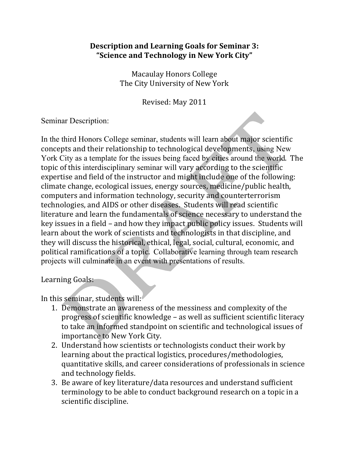## **Description and Learning Goals for Seminar 3: "Science+and+Technology+in+New+York+City"**

Macaulay Honors College The City University of New York

Revised: May 2011

Seminar Description:

In the third Honors College seminar, students will learn about major scientific concepts and their relationship to technological developments, using New York City as a template for the issues being faced by cities around the world. The topic of this interdisciplinary seminar will vary according to the scientific expertise and field of the instructor and might include one of the following: climate change, ecological issues, energy sources, medicine/public health, computers and information technology, security and counterterrorism technologies, and AIDS or other diseases. Students will read scientific literature and learn the fundamentals of science necessary to understand the key issues in a field – and how they impact public policy issues. Students will learn about the work of scientists and technologists in that discipline, and they will discuss the historical, ethical, legal, social, cultural, economic, and political ramifications of a topic. Collaborative learning through team research projects will culminate in an event with presentations of results.

Learning Goals:

In this seminar, students will:

- 1. Demonstrate an awareness of the messiness and complexity of the progress of scientific knowledge – as well as sufficient scientific literacy to take an informed standpoint on scientific and technological issues of importance to New York City.
- 2. Understand how scientists or technologists conduct their work by learning about the practical logistics, procedures/methodologies, quantitative skills, and career considerations of professionals in science and technology fields.
- 3. Be aware of key literature/data resources and understand sufficient terminology to be able to conduct background research on a topic in a scientific discipline.